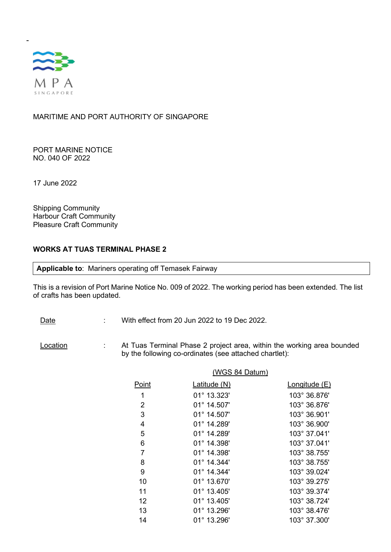

-

MARITIME AND PORT AUTHORITY OF SINGAPORE

PORT MARINE NOTICE NO. 040 OF 2022

17 June 2022

Shipping Community Harbour Craft Community Pleasure Craft Community

## WORKS AT TUAS TERMINAL PHASE 2

Applicable to: Mariners operating off Temasek Fairway

This is a revision of Port Marine Notice No. 009 of 2022. The working period has been extended. The list of crafts has been updated.

- Date : With effect from 20 Jun 2022 to 19 Dec 2022.
- Location : At Tuas Terminal Phase 2 project area, within the working area bounded by the following co-ordinates (see attached chartlet):

| (WGS 84 Datum) |                      |               |
|----------------|----------------------|---------------|
| Point          | Latitude (N)         | Longitude (E) |
| 1              | 01° 13.323'          | 103° 36.876'  |
| $\overline{2}$ | 01° 14.507'          | 103° 36.876'  |
| 3              | 01° 14.507'          | 103° 36.901'  |
| 4              | 01° 14.289'          | 103° 36.900'  |
| 5              | 01° 14.289'          | 103° 37.041'  |
| 6              | 01° 14.398'          | 103° 37.041'  |
| $\overline{7}$ | 01° 14.398'          | 103° 38.755'  |
| 8              | $01^{\circ}$ 14.344' | 103° 38.755'  |
| 9              | 01° 14.344'          | 103° 39.024'  |
| 10             | 01° 13.670'          | 103° 39.275'  |
| 11             | 01° 13.405'          | 103° 39.374'  |
| 12             | 01° 13.405'          | 103° 38.724'  |
| 13             | 01° 13.296'          | 103° 38.476'  |
| 14             | 01° 13.296'          | 103° 37.300'  |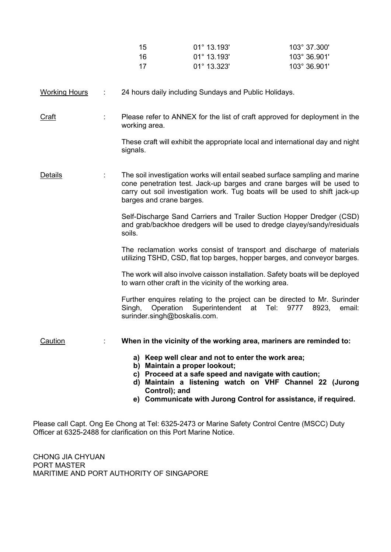| -15  | $01^{\circ}$ 13.193' | 103° 37.300' |
|------|----------------------|--------------|
| -16  | $01^{\circ}$ 13.193' | 103° 36.901' |
| - 17 | $01^{\circ}$ 13.323' | 103° 36.901' |

## Working Hours : 24 hours daily including Sundays and Public Holidays.

Craft : Please refer to ANNEX for the list of craft approved for deployment in the working area.

> These craft will exhibit the appropriate local and international day and night signals.

Details **1. Investigation works will entail seabed surface sampling and marine** Details cone penetration test. Jack-up barges and crane barges will be used to carry out soil investigation work. Tug boats will be used to shift jack-up barges and crane barges.

> Self-Discharge Sand Carriers and Trailer Suction Hopper Dredger (CSD) and grab/backhoe dredgers will be used to dredge clayey/sandy/residuals soils.

> The reclamation works consist of transport and discharge of materials utilizing TSHD, CSD, flat top barges, hopper barges, and conveyor barges.

> The work will also involve caisson installation. Safety boats will be deployed to warn other craft in the vicinity of the working area.

> Further enquires relating to the project can be directed to Mr. Surinder Singh, Operation Superintendent at Tel: 9777 8923, email: surinder.singh@boskalis.com.

Caution : When in the vicinity of the working area, mariners are reminded to:

- a) Keep well clear and not to enter the work area;
- b) Maintain a proper lookout;
- c) Proceed at a safe speed and navigate with caution;
- d) Maintain a listening watch on VHF Channel 22 (Jurong Control); and
- e) Communicate with Jurong Control for assistance, if required.

Please call Capt. Ong Ee Chong at Tel: 6325-2473 or Marine Safety Control Centre (MSCC) Duty Officer at 6325-2488 for clarification on this Port Marine Notice.

CHONG JIA CHYUAN PORT MASTER MARITIME AND PORT AUTHORITY OF SINGAPORE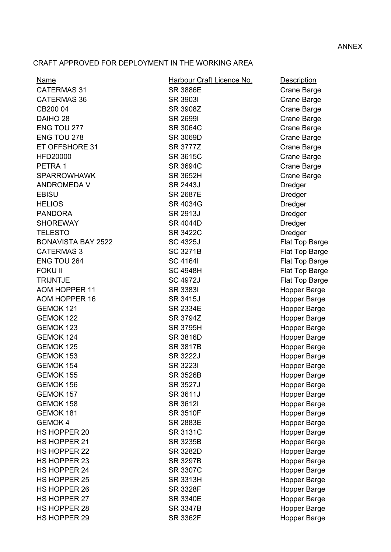## ANNEX

## CRAFT APPROVED FOR DEPLOYMENT IN THE WORKING AREA

| Name                      | Harbour Craft Licence No. | <b>Description</b>  |
|---------------------------|---------------------------|---------------------|
| <b>CATERMAS 31</b>        | <b>SR 3886E</b>           | Crane Barge         |
| <b>CATERMAS 36</b>        | <b>SR 39031</b>           | Crane Barge         |
| CB200 04                  | SR 3908Z                  | Crane Barge         |
| DAIHO <sub>28</sub>       | <b>SR 26991</b>           | Crane Barge         |
| ENG TOU 277               | <b>SR 3064C</b>           | Crane Barge         |
| ENG TOU 278               | <b>SR 3069D</b>           | Crane Barge         |
| ET OFFSHORE 31            | SR 3777Z                  | Crane Barge         |
| <b>HFD20000</b>           | SR 3615C                  | <b>Crane Barge</b>  |
| PETRA 1                   | <b>SR 3694C</b>           | Crane Barge         |
| <b>SPARROWHAWK</b>        | <b>SR 3652H</b>           | Crane Barge         |
| <b>ANDROMEDA V</b>        | SR 2443J                  | Dredger             |
| <b>EBISU</b>              | <b>SR 2687E</b>           | Dredger             |
| <b>HELIOS</b>             | SR 4034G                  | Dredger             |
| <b>PANDORA</b>            | SR 2913J                  | <b>Dredger</b>      |
| <b>SHOREWAY</b>           | <b>SR 4044D</b>           | <b>Dredger</b>      |
| <b>TELESTO</b>            | SR 3422C                  | <b>Dredger</b>      |
| <b>BONAVISTA BAY 2522</b> | <b>SC 4325J</b>           | Flat Top Barge      |
| <b>CATERMAS 3</b>         | <b>SC 3271B</b>           | Flat Top Barge      |
| ENG TOU 264               | <b>SC 41641</b>           | Flat Top Barge      |
| <b>FOKU II</b>            | <b>SC 4948H</b>           | Flat Top Barge      |
| <b>TRIJNTJE</b>           | <b>SC 4972J</b>           | Flat Top Barge      |
| <b>AOM HOPPER 11</b>      | <b>SR 33831</b>           | Hopper Barge        |
| AOM HOPPER 16             | SR 3415J                  | Hopper Barge        |
| GEMOK 121                 | <b>SR 2334E</b>           | Hopper Barge        |
| GEMOK 122                 | SR 3794Z                  | Hopper Barge        |
| GEMOK 123                 | <b>SR 3795H</b>           | Hopper Barge        |
| GEMOK 124                 | SR 3816D                  | Hopper Barge        |
| GEMOK 125                 | SR 3817B                  | Hopper Barge        |
| GEMOK 153                 | <b>SR 3222J</b>           | Hopper Barge        |
| GEMOK 154                 | SR 32231                  | Hopper Barge        |
| GEMOK 155                 | <b>SR 3526B</b>           | Hopper Barge        |
| GEMOK 156                 | SR 3527J                  | Hopper Barge        |
| GEMOK 157                 | SR 3611J                  | Hopper Barge        |
| GEMOK 158                 | SR 3612I                  | Hopper Barge        |
| GEMOK 181                 | <b>SR 3510F</b>           | Hopper Barge        |
| <b>GEMOK4</b>             | <b>SR 2883E</b>           | Hopper Barge        |
| HS HOPPER 20              | <b>SR 3131C</b>           | Hopper Barge        |
| HS HOPPER 21              | SR 3235B                  | Hopper Barge        |
| HS HOPPER 22              | <b>SR 3282D</b>           | Hopper Barge        |
| <b>HS HOPPER 23</b>       | <b>SR 3297B</b>           | <b>Hopper Barge</b> |
| <b>HS HOPPER 24</b>       | <b>SR 3307C</b>           | <b>Hopper Barge</b> |
| <b>HS HOPPER 25</b>       | <b>SR 3313H</b>           | Hopper Barge        |
| HS HOPPER 26              | <b>SR 3328F</b>           | Hopper Barge        |
| HS HOPPER 27              | <b>SR 3340E</b>           | Hopper Barge        |
| HS HOPPER 28              | <b>SR 3347B</b>           | Hopper Barge        |
| HS HOPPER 29              | <b>SR 3362F</b>           | Hopper Barge        |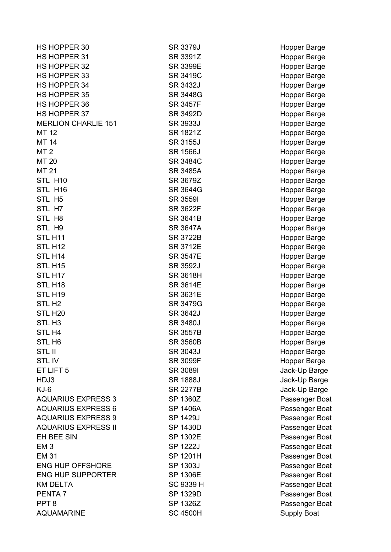| HS HOPPER 30               | <b>SR 3379J</b> | Hopper Barge       |
|----------------------------|-----------------|--------------------|
| HS HOPPER 31               | SR 3391Z        | Hopper Barge       |
| HS HOPPER 32               | SR 3399E        | Hopper Barge       |
| HS HOPPER 33               | SR 3419C        | Hopper Barge       |
| HS HOPPER 34               | SR 3432J        | Hopper Barge       |
| <b>HS HOPPER 35</b>        | SR 3448G        | Hopper Barge       |
| HS HOPPER 36               | <b>SR 3457F</b> | Hopper Barge       |
| HS HOPPER 37               | SR 3492D        | Hopper Barge       |
| <b>MERLION CHARLIE 151</b> | SR 3933J        | Hopper Barge       |
| <b>MT 12</b>               | SR 1821Z        | Hopper Barge       |
| MT 14                      | <b>SR 3155J</b> | Hopper Barge       |
| MT <sub>2</sub>            | <b>SR 1566J</b> | Hopper Barge       |
| MT 20                      | SR 3484C        | Hopper Barge       |
| <b>MT 21</b>               | <b>SR 3485A</b> | Hopper Barge       |
| STL H10                    | SR 3679Z        | Hopper Barge       |
| STL H16                    | SR 3644G        | Hopper Barge       |
| STL H <sub>5</sub>         | <b>SR 35591</b> | Hopper Barge       |
| STL H7                     | <b>SR 3622F</b> | Hopper Barge       |
| STL H8                     | SR 3641B        | Hopper Barge       |
| STL H9                     | <b>SR 3647A</b> | Hopper Barge       |
| STL H11                    | <b>SR 3722B</b> | Hopper Barge       |
| STL H <sub>12</sub>        | SR 3712E        | Hopper Barge       |
| STL H14                    | <b>SR 3547E</b> | Hopper Barge       |
| STL H <sub>15</sub>        | SR 3592J        | Hopper Barge       |
| STL H17                    | <b>SR 3618H</b> | Hopper Barge       |
| STL H <sub>18</sub>        | SR 3614E        | Hopper Barge       |
| STL H19                    | SR 3631E        | Hopper Barge       |
| STL H <sub>2</sub>         | SR 3479G        | Hopper Barge       |
| STL H <sub>20</sub>        | SR 3642J        | Hopper Barge       |
| STL H <sub>3</sub>         | <b>SR 3480J</b> | Hopper Barge       |
| STL H4                     | <b>SR 3557B</b> | Hopper Barge       |
| STL H <sub>6</sub>         | <b>SR 3560B</b> | Hopper Barge       |
| <b>STL II</b>              | SR 3043J        | Hopper Barge       |
| <b>STLIV</b>               | SR 3099F        | Hopper Barge       |
| ET LIFT 5                  | <b>SR 30891</b> | Jack-Up Barge      |
| HDJ3                       | <b>SR 1888J</b> | Jack-Up Barge      |
| $KJ-6$                     | <b>SR 2277B</b> | Jack-Up Barge      |
| <b>AQUARIUS EXPRESS 3</b>  | SP 1360Z        | Passenger Boat     |
| <b>AQUARIUS EXPRESS 6</b>  | <b>SP 1406A</b> | Passenger Boat     |
| <b>AQUARIUS EXPRESS 9</b>  | SP 1429J        | Passenger Boat     |
| <b>AQUARIUS EXPRESS II</b> | SP 1430D        | Passenger Boat     |
| EH BEE SIN                 | SP 1302E        | Passenger Boat     |
| EM <sub>3</sub>            | SP 1222J        | Passenger Boat     |
| <b>EM 31</b>               | SP 1201H        | Passenger Boat     |
| <b>ENG HUP OFFSHORE</b>    | SP 1303J        | Passenger Boat     |
| <b>ENG HUP SUPPORTER</b>   | <b>SP 1306E</b> | Passenger Boat     |
| <b>KM DELTA</b>            | SC 9339 H       | Passenger Boat     |
| PENTA <sub>7</sub>         | SP 1329D        | Passenger Boat     |
| PPT <sub>8</sub>           | SP 1326Z        | Passenger Boat     |
| <b>AQUAMARINE</b>          | <b>SC 4500H</b> |                    |
|                            |                 | <b>Supply Boat</b> |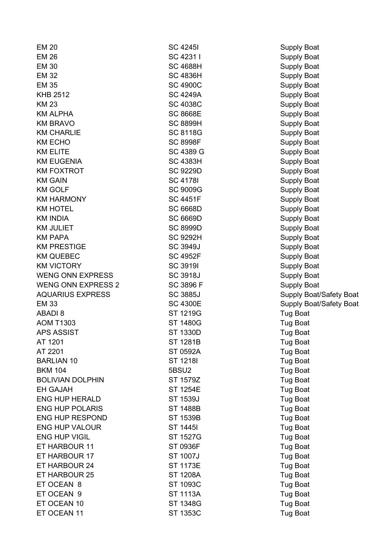| <b>EM 20</b>              | <b>SC 42451</b>  | <b>Supply Boat</b>             |
|---------------------------|------------------|--------------------------------|
| <b>EM 26</b>              | SC 4231 I        | <b>Supply Boat</b>             |
| <b>EM 30</b>              | <b>SC 4688H</b>  | <b>Supply Boat</b>             |
| <b>EM 32</b>              | <b>SC 4836H</b>  | <b>Supply Boat</b>             |
| <b>EM 35</b>              | <b>SC 4900C</b>  | <b>Supply Boat</b>             |
| <b>KHB 2512</b>           | <b>SC 4249A</b>  | <b>Supply Boat</b>             |
| <b>KM 23</b>              | <b>SC 4038C</b>  | <b>Supply Boat</b>             |
| <b>KM ALPHA</b>           | <b>SC 8668E</b>  | <b>Supply Boat</b>             |
| <b>KM BRAVO</b>           | <b>SC 8899H</b>  | <b>Supply Boat</b>             |
| <b>KM CHARLIE</b>         | <b>SC 8118G</b>  | <b>Supply Boat</b>             |
| <b>KM ECHO</b>            | <b>SC 8998F</b>  | <b>Supply Boat</b>             |
| <b>KM ELITE</b>           | SC 4389 G        | <b>Supply Boat</b>             |
| <b>KM EUGENIA</b>         | <b>SC 4383H</b>  | <b>Supply Boat</b>             |
| <b>KM FOXTROT</b>         | <b>SC 9229D</b>  | <b>Supply Boat</b>             |
| <b>KM GAIN</b>            | <b>SC 41781</b>  | <b>Supply Boat</b>             |
| <b>KM GOLF</b>            | <b>SC 9009G</b>  | <b>Supply Boat</b>             |
| <b>KM HARMONY</b>         | <b>SC 4451F</b>  | <b>Supply Boat</b>             |
| <b>KM HOTEL</b>           | <b>SC 6668D</b>  | <b>Supply Boat</b>             |
| <b>KM INDIA</b>           | <b>SC 6669D</b>  | <b>Supply Boat</b>             |
| <b>KM JULIET</b>          | <b>SC 8999D</b>  | <b>Supply Boat</b>             |
| <b>KM PAPA</b>            | <b>SC 9292H</b>  | <b>Supply Boat</b>             |
| <b>KM PRESTIGE</b>        | SC 3949J         | <b>Supply Boat</b>             |
| <b>KM QUEBEC</b>          | <b>SC 4952F</b>  | <b>Supply Boat</b>             |
| <b>KM VICTORY</b>         | <b>SC 3919I</b>  | <b>Supply Boat</b>             |
| <b>WENG ONN EXPRESS</b>   | <b>SC 3918J</b>  | <b>Supply Boat</b>             |
| <b>WENG ONN EXPRESS 2</b> | <b>SC 3896 F</b> | <b>Supply Boat</b>             |
| <b>AQUARIUS EXPRESS</b>   | <b>SC 3885J</b>  | <b>Supply Boat/Safety Boat</b> |
| <b>EM 33</b>              | <b>SC 4300E</b>  | Supply Boat/Safety Boat        |
| <b>ABADI 8</b>            | ST 1219G         | <b>Tug Boat</b>                |
| <b>AOM T1303</b>          | ST 1480G         | Tug Boat                       |
| <b>APS ASSIST</b>         | <b>ST 1330D</b>  | <b>Tug Boat</b>                |
| AT 1201                   | <b>ST 1281B</b>  | <b>Tug Boat</b>                |
| AT 2201                   | ST 0592A         | <b>Tug Boat</b>                |
| <b>BARLIAN 10</b>         | ST 1218I         | <b>Tug Boat</b>                |
| <b>BKM 104</b>            | 5BSU2            | <b>Tug Boat</b>                |
| <b>BOLIVIAN DOLPHIN</b>   | ST 1579Z         | <b>Tug Boat</b>                |
| <b>EH GAJAH</b>           | <b>ST 1254E</b>  | Tug Boat                       |
| <b>ENG HUP HERALD</b>     | ST 1539J         | <b>Tug Boat</b>                |
| <b>ENG HUP POLARIS</b>    | <b>ST 1488B</b>  | <b>Tug Boat</b>                |
| <b>ENG HUP RESPOND</b>    | ST 1539B         | <b>Tug Boat</b>                |
| <b>ENG HUP VALOUR</b>     | ST 14451         | <b>Tug Boat</b>                |
| <b>ENG HUP VIGIL</b>      | ST 1527G         | <b>Tug Boat</b>                |
| ET HARBOUR 11             | ST 0936F         | Tug Boat                       |
| ET HARBOUR 17             | ST 1007J         | <b>Tug Boat</b>                |
| ET HARBOUR 24             | ST 1173E         | Tug Boat                       |
| ET HARBOUR 25             | <b>ST 1208A</b>  | Tug Boat                       |
| ET OCEAN 8                | ST 1093C         | <b>Tug Boat</b>                |
| ET OCEAN 9                | <b>ST 1113A</b>  | <b>Tug Boat</b>                |
| ET OCEAN 10               | ST 1348G         | <b>Tug Boat</b>                |
| ET OCEAN 11               | ST 1353C         | <b>Tug Boat</b>                |
|                           |                  |                                |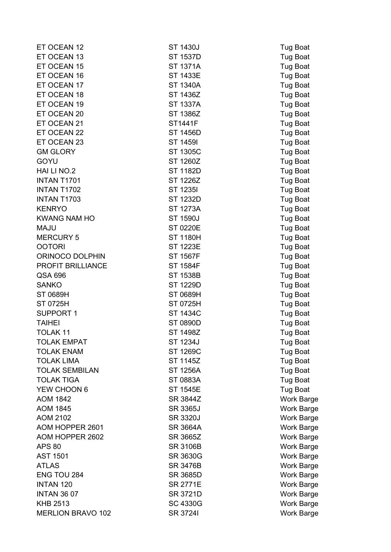| ET OCEAN 12              | ST 1430J        | <b>Tug Boat</b>   |
|--------------------------|-----------------|-------------------|
| ET OCEAN 13              | <b>ST 1537D</b> | Tug Boat          |
| ET OCEAN 15              | ST 1371A        | Tug Boat          |
| ET OCEAN 16              | ST 1433E        | Tug Boat          |
| ET OCEAN 17              | ST 1340A        | Tug Boat          |
| ET OCEAN 18              | ST 1436Z        | Tug Boat          |
| ET OCEAN 19              | ST 1337A        | Tug Boat          |
| ET OCEAN 20              | ST 1386Z        | Tug Boat          |
| ET OCEAN 21              | ST1441F         | <b>Tug Boat</b>   |
| ET OCEAN 22              | ST 1456D        | Tug Boat          |
| ET OCEAN 23              | ST 14591        | Tug Boat          |
| <b>GM GLORY</b>          | ST 1305C        | Tug Boat          |
| GOYU                     | ST 1260Z        | Tug Boat          |
| HAI LI NO.2              | ST 1182D        | Tug Boat          |
| <b>INTAN T1701</b>       | ST 1226Z        | Tug Boat          |
| INTAN T1702              | ST 12351        | Tug Boat          |
| <b>INTAN T1703</b>       | ST 1232D        | Tug Boat          |
| <b>KENRYO</b>            | ST 1273A        | Tug Boat          |
| <b>KWANG NAM HO</b>      | ST 1590J        | Tug Boat          |
| <b>MAJU</b>              | ST 0220E        | Tug Boat          |
| <b>MERCURY 5</b>         | ST 1180H        | Tug Boat          |
| <b>OOTORI</b>            | ST 1223E        | Tug Boat          |
| ORINOCO DOLPHIN          | ST 1567F        | Tug Boat          |
| PROFIT BRILLIANCE        | <b>ST 1584F</b> | Tug Boat          |
| QSA 696                  | ST 1538B        | Tug Boat          |
| <b>SANKO</b>             | ST 1229D        | Tug Boat          |
| ST 0689H                 | ST 0689H        | Tug Boat          |
| ST 0725H                 | ST 0725H        | Tug Boat          |
| <b>SUPPORT 1</b>         | ST 1434C        | Tug Boat          |
| <b>TAIHEI</b>            | ST 0890D        | Tug Boat          |
| <b>TOLAK 11</b>          | ST 1498Z        | Tug Boat          |
| <b>TOLAK EMPAT</b>       | ST 1234J        | Tug Boat          |
| <b>TOLAK ENAM</b>        | ST 1269C        | Tug Boat          |
| <b>TOLAK LIMA</b>        | ST 1145Z        | Tug Boat          |
| <b>TOLAK SEMBILAN</b>    | ST 1256A        | Tug Boat          |
| <b>TOLAK TIGA</b>        | ST 0883A        | Tug Boat          |
| YEW CHOON 6              | <b>ST 1545E</b> | Tug Boat          |
| <b>AOM 1842</b>          | SR 3844Z        | <b>Work Barge</b> |
| <b>AOM 1845</b>          | <b>SR 3365J</b> | Work Barge        |
| <b>AOM 2102</b>          | SR 3320J        | Work Barge        |
| AOM HOPPER 2601          | SR 3664A        | Work Barge        |
| AOM HOPPER 2602          | SR 3665Z        | <b>Work Barge</b> |
| <b>APS 80</b>            | <b>SR 3106B</b> | Work Barge        |
| <b>AST 1501</b>          | SR 3630G        | <b>Work Barge</b> |
| <b>ATLAS</b>             | <b>SR 3476B</b> | Work Barge        |
| ENG TOU 284              | SR 3685D        | Work Barge        |
| <b>INTAN 120</b>         | SR 2771E        | Work Barge        |
| <b>INTAN 36 07</b>       | SR 3721D        | Work Barge        |
| <b>KHB 2513</b>          | SC 4330G        | Work Barge        |
| <b>MERLION BRAVO 102</b> | SR 37241        | Work Barge        |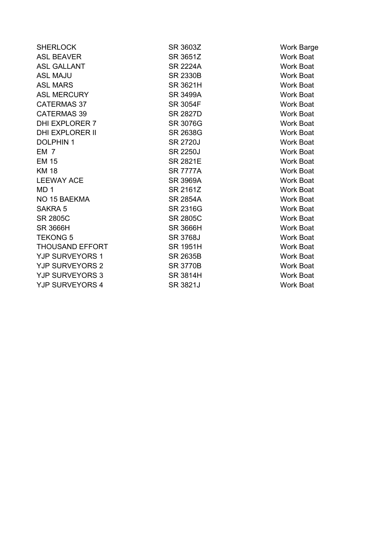| <b>SHERLOCK</b>        | SR 3603Z        | <b>Work Barge</b> |
|------------------------|-----------------|-------------------|
| <b>ASL BEAVER</b>      | SR 3651Z        | <b>Work Boat</b>  |
| <b>ASL GALLANT</b>     | <b>SR 2224A</b> | <b>Work Boat</b>  |
| <b>ASL MAJU</b>        | <b>SR 2330B</b> | <b>Work Boat</b>  |
| <b>ASL MARS</b>        | SR 3621H        | <b>Work Boat</b>  |
| <b>ASL MERCURY</b>     | <b>SR 3499A</b> | <b>Work Boat</b>  |
| <b>CATERMAS 37</b>     | <b>SR 3054F</b> | <b>Work Boat</b>  |
| <b>CATERMAS 39</b>     | <b>SR 2827D</b> | <b>Work Boat</b>  |
| <b>DHI EXPLORER 7</b>  | <b>SR 3076G</b> | <b>Work Boat</b>  |
| <b>DHI EXPLORER II</b> | SR 2638G        | <b>Work Boat</b>  |
| <b>DOLPHIN1</b>        | <b>SR 2720J</b> | <b>Work Boat</b>  |
| EM <sub>7</sub>        | <b>SR 2250J</b> | Work Boat         |
| <b>EM 15</b>           | <b>SR 2821E</b> | <b>Work Boat</b>  |
| <b>KM 18</b>           | <b>SR 7777A</b> | <b>Work Boat</b>  |
| <b>LEEWAY ACE</b>      | <b>SR 3969A</b> | <b>Work Boat</b>  |
| MD <sub>1</sub>        | SR 2161Z        | <b>Work Boat</b>  |
| NO 15 BAEKMA           | <b>SR 2854A</b> | <b>Work Boat</b>  |
| <b>SAKRA 5</b>         | SR 2316G        | <b>Work Boat</b>  |
| <b>SR 2805C</b>        | <b>SR 2805C</b> | <b>Work Boat</b>  |
| <b>SR 3666H</b>        | <b>SR 3666H</b> | <b>Work Boat</b>  |
| <b>TEKONG 5</b>        | <b>SR 3768J</b> | <b>Work Boat</b>  |
| <b>THOUSAND EFFORT</b> | <b>SR 1951H</b> | <b>Work Boat</b>  |
| <b>YJP SURVEYORS 1</b> | SR 2635B        | <b>Work Boat</b>  |
| <b>YJP SURVEYORS 2</b> | <b>SR 3770B</b> | <b>Work Boat</b>  |
| <b>YJP SURVEYORS 3</b> | SR 3814H        | <b>Work Boat</b>  |
| <b>YJP SURVEYORS 4</b> | SR 3821J        | <b>Work Boat</b>  |